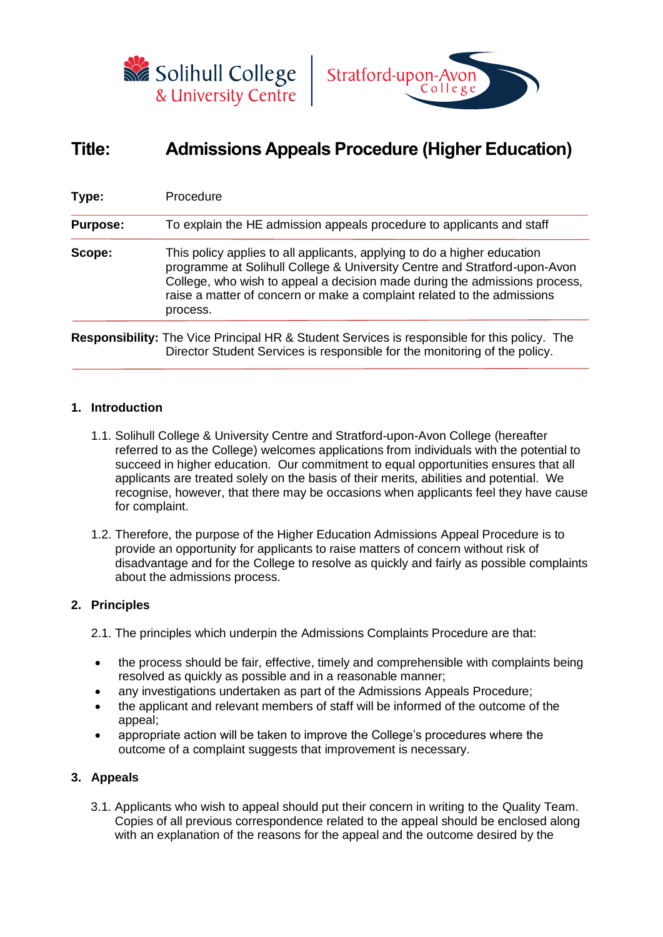



# **Title: Admissions Appeals Procedure (Higher Education)**

| Type:           | Procedure                                                                                                                                                                                                                                                                                                                  |
|-----------------|----------------------------------------------------------------------------------------------------------------------------------------------------------------------------------------------------------------------------------------------------------------------------------------------------------------------------|
| <b>Purpose:</b> | To explain the HE admission appeals procedure to applicants and staff                                                                                                                                                                                                                                                      |
| Scope:          | This policy applies to all applicants, applying to do a higher education<br>programme at Solihull College & University Centre and Stratford-upon-Avon<br>College, who wish to appeal a decision made during the admissions process,<br>raise a matter of concern or make a complaint related to the admissions<br>process. |

**Responsibility:** The Vice Principal HR & Student Services is responsible for this policy. The Director Student Services is responsible for the monitoring of the policy.

## **1. Introduction**

- 1.1. Solihull College & University Centre and Stratford-upon-Avon College (hereafter referred to as the College) welcomes applications from individuals with the potential to succeed in higher education. Our commitment to equal opportunities ensures that all applicants are treated solely on the basis of their merits, abilities and potential. We recognise, however, that there may be occasions when applicants feel they have cause for complaint.
- 1.2. Therefore, the purpose of the Higher Education Admissions Appeal Procedure is to provide an opportunity for applicants to raise matters of concern without risk of disadvantage and for the College to resolve as quickly and fairly as possible complaints about the admissions process.

### **2. Principles**

2.1. The principles which underpin the Admissions Complaints Procedure are that:

- the process should be fair, effective, timely and comprehensible with complaints being resolved as quickly as possible and in a reasonable manner;
- any investigations undertaken as part of the Admissions Appeals Procedure;
- the applicant and relevant members of staff will be informed of the outcome of the appeal;
- appropriate action will be taken to improve the College's procedures where the outcome of a complaint suggests that improvement is necessary.

## **3. Appeals**

3.1. Applicants who wish to appeal should put their concern in writing to the Quality Team. Copies of all previous correspondence related to the appeal should be enclosed along with an explanation of the reasons for the appeal and the outcome desired by the